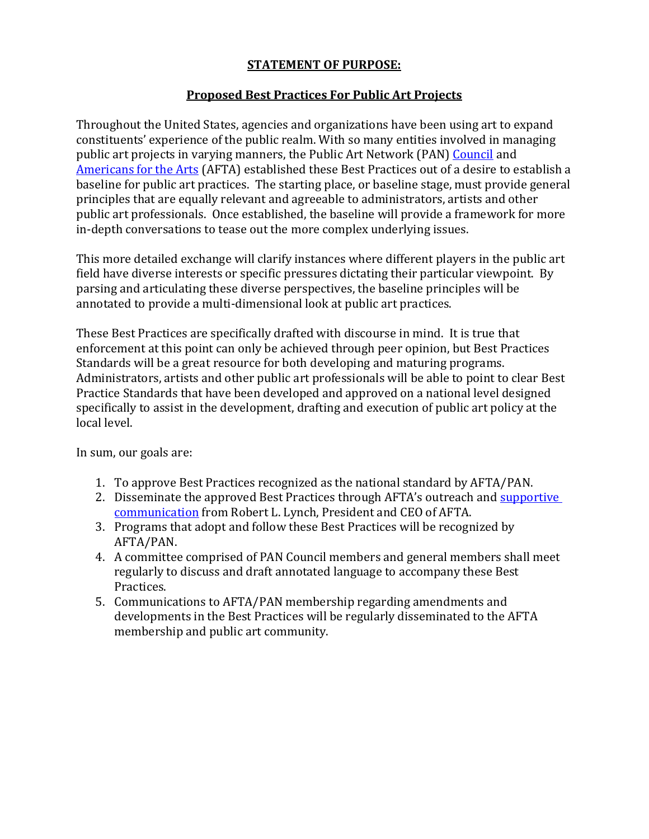## **STATEMENT OF PURPOSE:**

## **Proposed Best Practices For Public Art Projects**

Throughout the United States, agencies and organizations have been using art to expand constituents' experience of the public realm. With so many entities involved in managing public art projects in varying manners, the Public Art Network (PAN) [Council](http://www.americansforthearts.org/by-program/networks-and-councils/public-art-network/councilhttp:/www.americansforthearts.org/by-program/networks-and-councils/public-art-network/council) and [Americans for the Arts](http://www.americansforthearts.org/) (AFTA) established these Best Practices out of a desire to establish a baseline for public art practices. The starting place, or baseline stage, must provide general principles that are equally relevant and agreeable to administrators, artists and other public art professionals. Once established, the baseline will provide a framework for more in-depth conversations to tease out the more complex underlying issues.

This more detailed exchange will clarify instances where different players in the public art field have diverse interests or specific pressures dictating their particular viewpoint. By parsing and articulating these diverse perspectives, the baseline principles will be annotated to provide a multi-dimensional look at public art practices.

These Best Practices are specifically drafted with discourse in mind. It is true that enforcement at this point can only be achieved through peer opinion, but Best Practices Standards will be a great resource for both developing and maturing programs. Administrators, artists and other public art professionals will be able to point to clear Best Practice Standards that have been developed and approved on a national level designed specifically to assist in the development, drafting and execution of public art policy at the local level.

In sum, our goals are:

- 1. To approve Best Practices recognized as the national standard by AFTA/PAN.
- 2. Disseminate the approved Best Practices through AFTA's outreach and supportive [communication](http://www.americansforthearts.org/sites/default/files/pdf/2016/by_program/networks_and_councils/pan/tools/BobsLetterHeadFINAL.pdf) from Robert L. Lynch, President and CEO of AFTA.
- 3. Programs that adopt and follow these Best Practices will be recognized by AFTA/PAN.
- 4. A committee comprised of PAN Council members and general members shall meet regularly to discuss and draft annotated language to accompany these Best Practices.
- 5. Communications to AFTA/PAN membership regarding amendments and developments in the Best Practices will be regularly disseminated to the AFTA membership and public art community.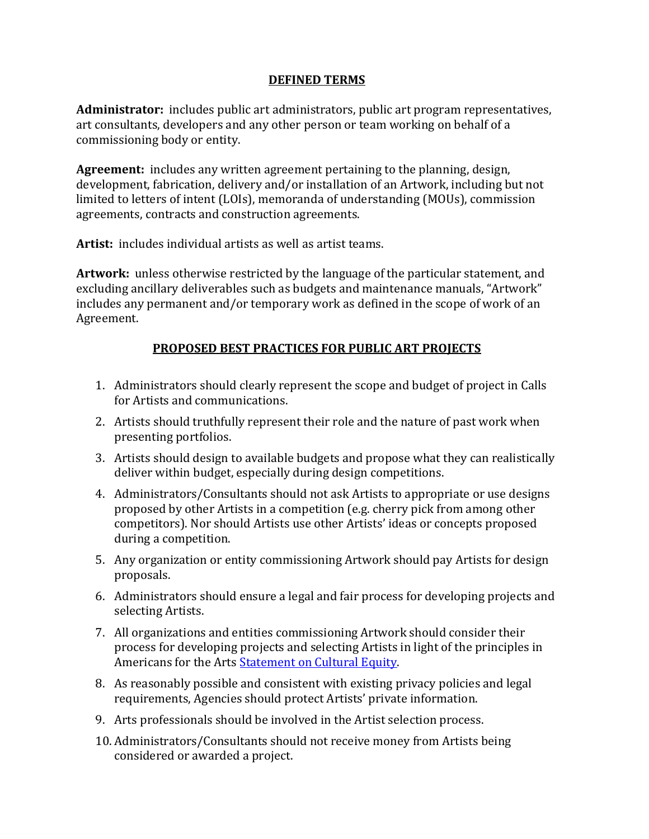## **DEFINED TERMS**

**Administrator:** includes public art administrators, public art program representatives, art consultants, developers and any other person or team working on behalf of a commissioning body or entity.

**Agreement:** includes any written agreement pertaining to the planning, design, development, fabrication, delivery and/or installation of an Artwork, including but not limited to letters of intent (LOIs), memoranda of understanding (MOUs), commission agreements, contracts and construction agreements.

**Artist:** includes individual artists as well as artist teams.

**Artwork:** unless otherwise restricted by the language of the particular statement, and excluding ancillary deliverables such as budgets and maintenance manuals, "Artwork" includes any permanent and/or temporary work as defined in the scope of work of an Agreement.

## **PROPOSED BEST PRACTICES FOR PUBLIC ART PROJECTS**

- 1. Administrators should clearly represent the scope and budget of project in Calls for Artists and communications.
- 2. Artists should truthfully represent their role and the nature of past work when presenting portfolios.
- 3. Artists should design to available budgets and propose what they can realistically deliver within budget, especially during design competitions.
- 4. Administrators/Consultants should not ask Artists to appropriate or use designs proposed by other Artists in a competition (e.g. cherry pick from among other competitors). Nor should Artists use other Artists' ideas or concepts proposed during a competition.
- 5. Any organization or entity commissioning Artwork should pay Artists for design proposals.
- 6. Administrators should ensure a legal and fair process for developing projects and selecting Artists.
- 7. All organizations and entities commissioning Artwork should consider their process for developing projects and selecting Artists in light of the principles in Americans for the Arts **Statement on Cultural Equity**.
- 8. As reasonably possible and consistent with existing privacy policies and legal requirements, Agencies should protect Artists' private information.
- 9. Arts professionals should be involved in the Artist selection process.
- 10. Administrators/Consultants should not receive money from Artists being considered or awarded a project.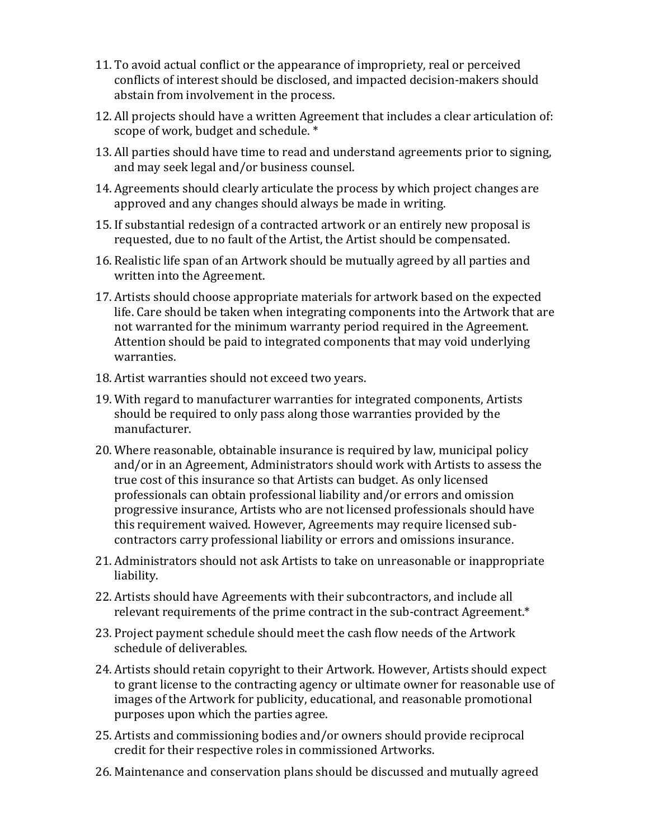- 11. To avoid actual conflict or the appearance of impropriety, real or perceived conflicts of interest should be disclosed, and impacted decision-makers should abstain from involvement in the process.
- 12. All projects should have a written Agreement that includes a clear articulation of: scope of work, budget and schedule. \*
- 13. All parties should have time to read and understand agreements prior to signing, and may seek legal and/or business counsel.
- 14. Agreements should clearly articulate the process by which project changes are approved and any changes should always be made in writing.
- 15. If substantial redesign of a contracted artwork or an entirely new proposal is requested, due to no fault of the Artist, the Artist should be compensated.
- 16. Realistic life span of an Artwork should be mutually agreed by all parties and written into the Agreement.
- 17. Artists should choose appropriate materials for artwork based on the expected life. Care should be taken when integrating components into the Artwork that are not warranted for the minimum warranty period required in the Agreement. Attention should be paid to integrated components that may void underlying warranties.
- 18. Artist warranties should not exceed two years.
- 19. With regard to manufacturer warranties for integrated components, Artists should be required to only pass along those warranties provided by the manufacturer.
- 20. Where reasonable, obtainable insurance is required by law, municipal policy and/or in an Agreement, Administrators should work with Artists to assess the true cost of this insurance so that Artists can budget. As only licensed professionals can obtain professional liability and/or errors and omission progressive insurance, Artists who are not licensed professionals should have this requirement waived. However, Agreements may require licensed subcontractors carry professional liability or errors and omissions insurance.
- 21. Administrators should not ask Artists to take on unreasonable or inappropriate liability.
- 22. Artists should have Agreements with their subcontractors, and include all relevant requirements of the prime contract in the sub-contract Agreement.\*
- 23. Project payment schedule should meet the cash flow needs of the Artwork schedule of deliverables.
- 24. Artists should retain copyright to their Artwork. However, Artists should expect to grant license to the contracting agency or ultimate owner for reasonable use of images of the Artwork for publicity, educational, and reasonable promotional purposes upon which the parties agree.
- 25. Artists and commissioning bodies and/or owners should provide reciprocal credit for their respective roles in commissioned Artworks.
- 26. Maintenance and conservation plans should be discussed and mutually agreed